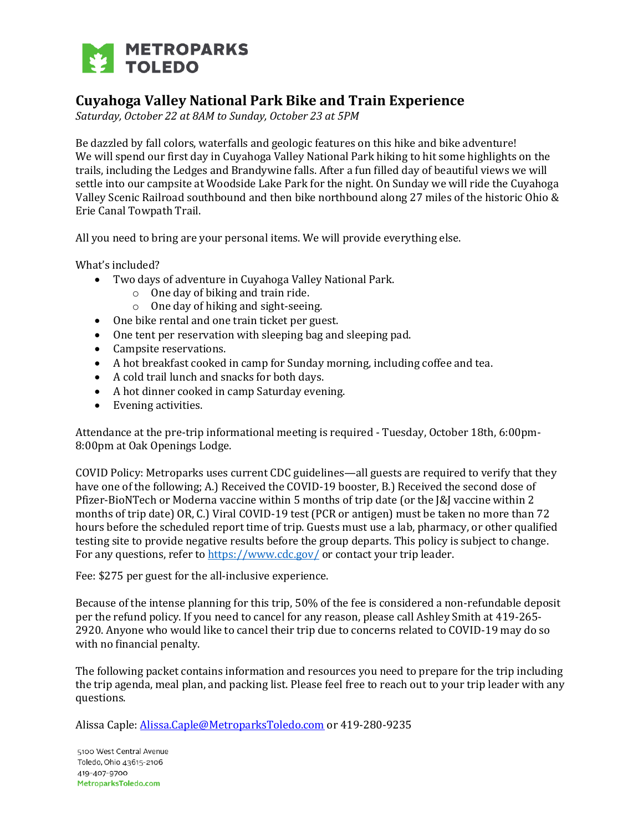

# **Cuyahoga Valley National Park Bike and Train Experience**

*Saturday, October 22 at 8AM to Sunday, October 23 at 5PM*

Be dazzled by fall colors, waterfalls and geologic features on this hike and bike adventure! We will spend our first day in Cuyahoga Valley National Park hiking to hit some highlights on the trails, including the Ledges and Brandywine falls. After a fun filled day of beautiful views we will settle into our campsite at Woodside Lake Park for the night. On Sunday we will ride the Cuyahoga Valley Scenic Railroad southbound and then bike northbound along 27 miles of the historic Ohio & Erie Canal Towpath Trail.

All you need to bring are your personal items. We will provide everything else.

What's included?

- Two days of adventure in Cuyahoga Valley National Park.
	- o One day of biking and train ride.
	- o One day of hiking and sight-seeing.
- One bike rental and one train ticket per guest.
- One tent per reservation with sleeping bag and sleeping pad.
- Campsite reservations.
- A hot breakfast cooked in camp for Sunday morning, including coffee and tea.
- A cold trail lunch and snacks for both days.
- A hot dinner cooked in camp Saturday evening.
- Evening activities.

Attendance at the pre-trip informational meeting is required - Tuesday, October 18th, 6:00pm-8:00pm at Oak Openings Lodge.

COVID Policy: Metroparks uses current CDC guidelines—all guests are required to verify that they have one of the following; A.) Received the COVID-19 booster, B.) Received the second dose of Pfizer-BioNTech or Moderna vaccine within 5 months of trip date (or the J&J vaccine within 2 months of trip date) OR, C.) Viral COVID-19 test (PCR or antigen) must be taken no more than 72 hours before the scheduled report time of trip. Guests must use a lab, pharmacy, or other qualified testing site to provide negative results before the group departs. This policy is subject to change. For any questions, refer to<https://www.cdc.gov/> or contact your trip leader.

Fee: \$275 per guest for the all-inclusive experience.

Because of the intense planning for this trip, 50% of the fee is considered a non-refundable deposit per the refund policy. If you need to cancel for any reason, please call Ashley Smith at 419-265- 2920. Anyone who would like to cancel their trip due to concerns related to COVID-19 may do so with no financial penalty.

The following packet contains information and resources you need to prepare for the trip including the trip agenda, meal plan, and packing list. Please feel free to reach out to your trip leader with any questions.

Alissa Caple[: Alissa.Caple@MetroparksToledo.com](mailto:Alissa.Caple@MetroparksToledo.com) or 419-280-9235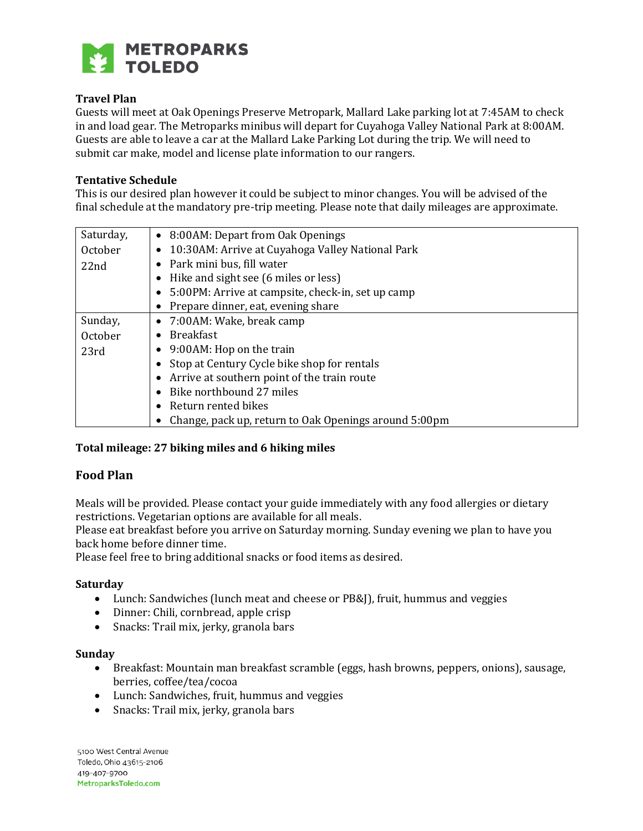

# **Travel Plan**

Guests will meet at Oak Openings Preserve Metropark, Mallard Lake parking lot at 7:45AM to check in and load gear. The Metroparks minibus will depart for Cuyahoga Valley National Park at 8:00AM. Guests are able to leave a car at the Mallard Lake Parking Lot during the trip. We will need to submit car make, model and license plate information to our rangers.

#### **Tentative Schedule**

This is our desired plan however it could be subject to minor changes. You will be advised of the final schedule at the mandatory pre-trip meeting. Please note that daily mileages are approximate.

| Saturday, | • 8:00 AM: Depart from Oak Openings                            |
|-----------|----------------------------------------------------------------|
| October   | 10:30AM: Arrive at Cuyahoga Valley National Park<br>$\bullet$  |
| 22nd      | Park mini bus, fill water<br>$\bullet$                         |
|           | Hike and sight see (6 miles or less)<br>$\bullet$              |
|           | 5:00PM: Arrive at campsite, check-in, set up camp<br>$\bullet$ |
|           | Prepare dinner, eat, evening share<br>$\bullet$                |
| Sunday,   | 7:00AM: Wake, break camp<br>$\bullet$                          |
| October   | <b>Breakfast</b><br>$\bullet$                                  |
| 23rd      | 9:00AM: Hop on the train<br>$\bullet$                          |
|           | Stop at Century Cycle bike shop for rentals<br>$\bullet$       |
|           | Arrive at southern point of the train route<br>$\bullet$       |
|           | Bike northbound 27 miles<br>$\bullet$                          |
|           | Return rented bikes                                            |
|           | Change, pack up, return to Oak Openings around 5:00pm          |

# **Total mileage: 27 biking miles and 6 hiking miles**

# **Food Plan**

Meals will be provided. Please contact your guide immediately with any food allergies or dietary restrictions. Vegetarian options are available for all meals.

Please eat breakfast before you arrive on Saturday morning. Sunday evening we plan to have you back home before dinner time.

Please feel free to bring additional snacks or food items as desired.

#### **Saturday**

- Lunch: Sandwiches (lunch meat and cheese or PB&J), fruit, hummus and veggies
- Dinner: Chili, cornbread, apple crisp
- Snacks: Trail mix, jerky, granola bars

#### **Sunday**

- Breakfast: Mountain man breakfast scramble (eggs, hash browns, peppers, onions), sausage, berries, coffee/tea/cocoa
- Lunch: Sandwiches, fruit, hummus and veggies
- Snacks: Trail mix, jerky, granola bars

5100 West Central Avenue Toledo, Ohio 43615-2106 419-407-9700 MetroparksToledo.com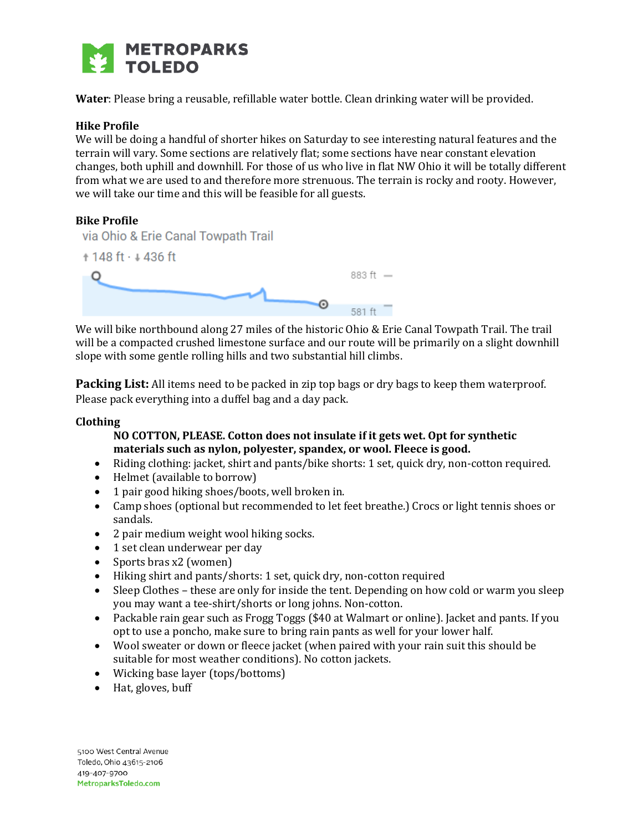

**Water**: Please bring a reusable, refillable water bottle. Clean drinking water will be provided.

#### **Hike Profile**

We will be doing a handful of shorter hikes on Saturday to see interesting natural features and the terrain will vary. Some sections are relatively flat; some sections have near constant elevation changes, both uphill and downhill. For those of us who live in flat NW Ohio it will be totally different from what we are used to and therefore more strenuous. The terrain is rocky and rooty. However, we will take our time and this will be feasible for all guests.

#### **Bike Profile**



We will bike northbound along 27 miles of the historic Ohio & Erie Canal Towpath Trail. The trail will be a compacted crushed limestone surface and our route will be primarily on a slight downhill slope with some gentle rolling hills and two substantial hill climbs.

**Packing List:** All items need to be packed in zip top bags or dry bags to keep them waterproof. Please pack everything into a duffel bag and a day pack.

#### **Clothing**

# **NO COTTON, PLEASE. Cotton does not insulate if it gets wet. Opt for synthetic materials such as nylon, polyester, spandex, or wool. Fleece is good.**

- Riding clothing: jacket, shirt and pants/bike shorts: 1 set, quick dry, non-cotton required.
- Helmet (available to borrow)
- 1 pair good hiking shoes/boots, well broken in.
- Camp shoes (optional but recommended to let feet breathe.) Crocs or light tennis shoes or sandals.
- 2 pair medium weight wool hiking socks.
- 1 set clean underwear per day
- Sports bras x2 (women)
- Hiking shirt and pants/shorts: 1 set, quick dry, non-cotton required
- Sleep Clothes these are only for inside the tent. Depending on how cold or warm you sleep you may want a tee-shirt/shorts or long johns. Non-cotton.
- Packable rain gear such as Frogg Toggs (\$40 at Walmart or online). Jacket and pants. If you opt to use a poncho, make sure to bring rain pants as well for your lower half.
- Wool sweater or down or fleece jacket (when paired with your rain suit this should be suitable for most weather conditions). No cotton jackets.
- Wicking base layer (tops/bottoms)
- Hat, gloves, buff

5100 West Central Avenue Toledo, Ohio 43615-2106 419-407-9700 MetroparksToledo.com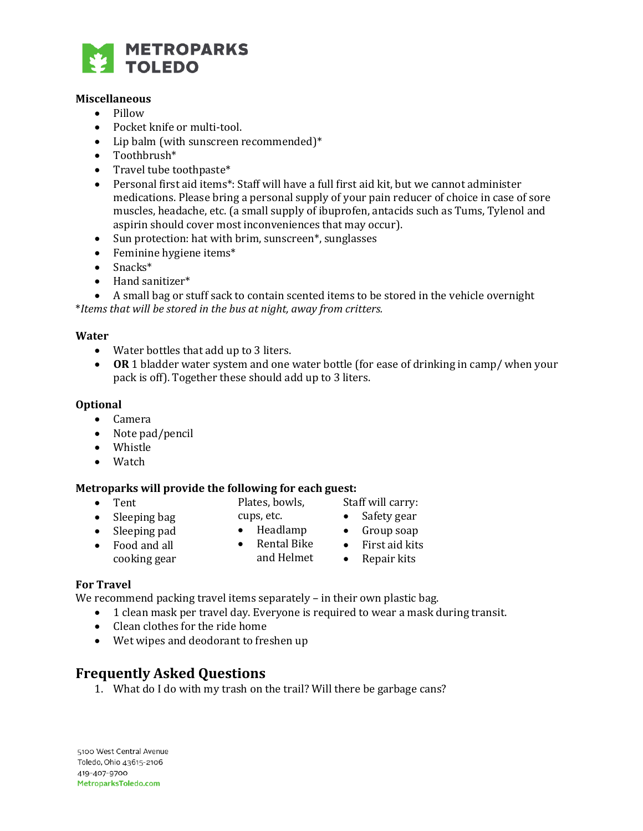

#### **Miscellaneous**

- Pillow
- Pocket knife or multi-tool.
- Lip balm (with sunscreen recommended)\*
- Toothbrush\*
- Travel tube toothpaste\*
- Personal first aid items\*: Staff will have a full first aid kit, but we cannot administer medications. Please bring a personal supply of your pain reducer of choice in case of sore muscles, headache, etc. (a small supply of ibuprofen, antacids such as Tums, Tylenol and aspirin should cover most inconveniences that may occur).
- Sun protection: hat with brim, sunscreen\*, sunglasses
- Feminine hygiene items\*
- $\bullet$  Snacks\*
- Hand sanitizer\*

 A small bag or stuff sack to contain scented items to be stored in the vehicle overnight \**Items that will be stored in the bus at night, away from critters.*

#### **Water**

- Water bottles that add up to 3 liters.
- **OR** 1 bladder water system and one water bottle (for ease of drinking in camp/ when your pack is off). Together these should add up to 3 liters.

#### **Optional**

- Camera
- Note pad/pencil
- Whistle
- Watch

#### **Metroparks will provide the following for each guest:**

Tent

- Plates, bowls, cups, etc.
- Sleeping bag • Sleeping pad
- Headlamp • Rental Bike
- Food and all cooking gear
- Staff will carry:
- Safety gear • Group soap
- First aid kits
- - Repair kits

# **For Travel**

We recommend packing travel items separately - in their own plastic bag.

1 clean mask per travel day. Everyone is required to wear a mask during transit.

and Helmet

- Clean clothes for the ride home
- Wet wipes and deodorant to freshen up

# **Frequently Asked Questions**

1. What do I do with my trash on the trail? Will there be garbage cans?

5100 West Central Avenue Toledo, Ohio 43615-2106 419-407-9700 MetroparksToledo.com